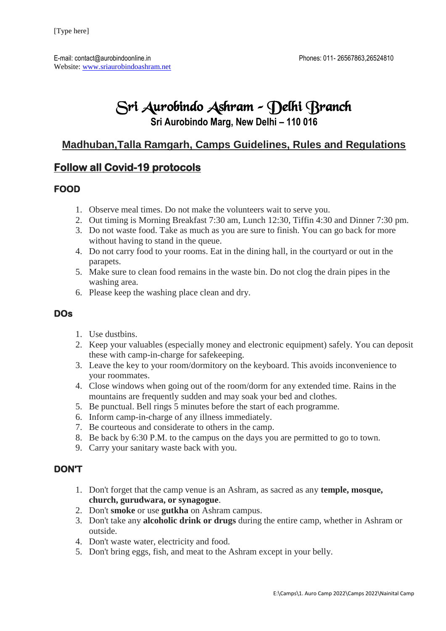# Sri Aurobindo Ashram – Delhi Branch

**Sri Aurobindo Marg, New Delhi – 110 016**

## **Madhuban,Talla Ramgarh, Camps Guidelines, Rules and Regulations**

### **Follow all Covid-19 protocols**

#### **FOOD**

- 1. Observe meal times. Do not make the volunteers wait to serve you.
- 2. Out timing is Morning Breakfast 7:30 am, Lunch 12:30, Tiffin 4:30 and Dinner 7:30 pm.
- 3. Do not waste food. Take as much as you are sure to finish. You can go back for more without having to stand in the queue.
- 4. Do not carry food to your rooms. Eat in the dining hall, in the courtyard or out in the parapets.
- 5. Make sure to clean food remains in the waste bin. Do not clog the drain pipes in the washing area.
- 6. Please keep the washing place clean and dry.

#### **DOs**

- 1. Use dustbins.
- 2. Keep your valuables (especially money and electronic equipment) safely. You can deposit these with camp-in-charge for safekeeping.
- 3. Leave the key to your room/dormitory on the keyboard. This avoids inconvenience to your roommates.
- 4. Close windows when going out of the room/dorm for any extended time. Rains in the mountains are frequently sudden and may soak your bed and clothes.
- 5. Be punctual. Bell rings 5 minutes before the start of each programme.
- 6. Inform camp-in-charge of any illness immediately.
- 7. Be courteous and considerate to others in the camp.
- 8. Be back by 6:30 P.M. to the campus on the days you are permitted to go to town.
- 9. Carry your sanitary waste back with you.

#### **DON'T**

- 1. Don't forget that the camp venue is an Ashram, as sacred as any **temple, mosque, church, gurudwara, or synagogue**.
- 2. Don't **smoke** or use **gutkha** on Ashram campus.
- 3. Don't take any **alcoholic drink or drugs** during the entire camp, whether in Ashram or outside.
- 4. Don't waste water, electricity and food.
- 5. Don't bring eggs, fish, and meat to the Ashram except in your belly.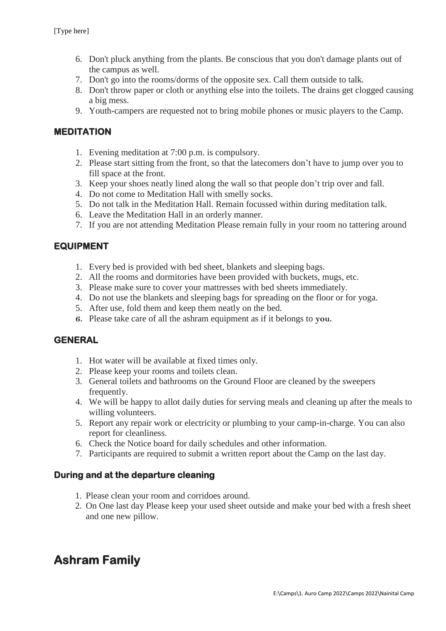- 6. Don't pluck anything from the plants. Be conscious that you don't damage plants out of the campus as well.
- 7. Don't go into the rooms/dorms of the opposite sex. Call them outside to talk.
- 8. Don't throw paper or cloth or anything else into the toilets. The drains get clogged causing a big mess.
- 9. Youth-campers are requested not to bring mobile phones or music players to the Camp.

#### **MEDITATION**

- 1. Evening meditation at 7:00 p.m. is compulsory.
- 2. Please start sitting from the front, so that the latecomers don't have to jump over you to fill space at the front.
- 3. Keep your shoes neatly lined along the wall so that people don't trip over and fall.
- 4. Do not come to Meditation Hall with smelly socks.
- 5. Do not talk in the Meditation Hall. Remain focussed within during meditation talk.
- 6. Leave the Meditation Hall in an orderly manner.
- 7. If you are not attending Meditation Please remain fully in your room no tattering around

#### **EQUIPMENT**

- 1. Every bed is provided with bed sheet, blankets and sleeping bags.
- 2. All the rooms and dormitories have been provided with buckets, mugs, etc.
- 3. Please make sure to cover your mattresses with bed sheets immediately.
- 4. Do not use the blankets and sleeping bags for spreading on the floor or for yoga.
- 5. After use, fold them and keep them neatly on the bed.
- **6.** Please take care of all the ashram equipment as if it belongs to **you.**

#### **GENERAL**

- 1. Hot water will be available at fixed times only.
- 2. Please keep your rooms and toilets clean.
- 3. General toilets and bathrooms on the Ground Floor are cleaned by the sweepers frequently.
- 4. We will be happy to allot daily duties for serving meals and cleaning up after the meals to willing volunteers.
- 5. Report any repair work or electricity or plumbing to your camp-in-charge. You can also report for cleanliness.
- 6. Check the Notice board for daily schedules and other information.
- 7. Participants are required to submit a written report about the Camp on the last day.

#### **During and at the departure cleaning**

- 1. Please clean your room and corridoes around.
- 2. On One last day Please keep your used sheet outside and make your bed with a fresh sheet and one new pillow.

## **Ashram Family**